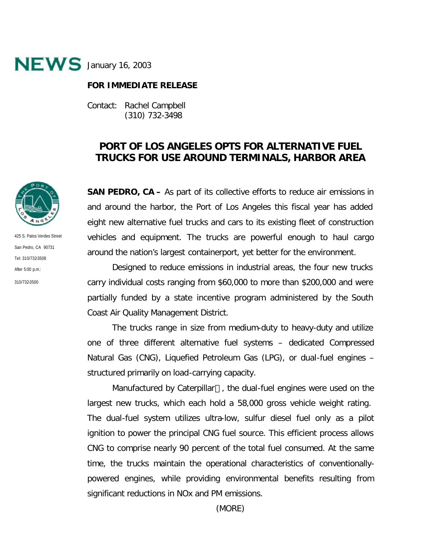

## **FOR IMMEDIATE RELEASE**

Contact: Rachel Campbell (310) 732-3498

## **PORT OF LOS ANGELES OPTS FOR ALTERNATIVE FUEL TRUCKS FOR USE AROUND TERMINALS, HARBOR AREA**

**SAN PEDRO, CA –** As part of its collective efforts to reduce air emissions in and around the harbor, the Port of Los Angeles this fiscal year has added eight new alternative fuel trucks and cars to its existing fleet of construction vehicles and equipment. The trucks are powerful enough to haul cargo around the nation's largest containerport, yet better for the environment.

Designed to reduce emissions in industrial areas, the four new trucks carry individual costs ranging from \$60,000 to more than \$200,000 and were partially funded by a state incentive program administered by the South Coast Air Quality Management District.

The trucks range in size from medium-duty to heavy-duty and utilize one of three different alternative fuel systems – dedicated Compressed Natural Gas (CNG), Liquefied Petroleum Gas (LPG), or dual-fuel engines – structured primarily on load-carrying capacity.

Manufactured by Caterpillar $\mathcal{D}$ , the dual-fuel engines were used on the largest new trucks, which each hold a 58,000 gross vehicle weight rating. The dual-fuel system utilizes ultra-low, sulfur diesel fuel only as a pilot ignition to power the principal CNG fuel source. This efficient process allows CNG to comprise nearly 90 percent of the total fuel consumed. At the same time, the trucks maintain the operational characteristics of conventionallypowered engines, while providing environmental benefits resulting from significant reductions in NOx and PM emissions.



425 S. Palos Verdes Street San Pedro, CA 90731 Tel: 310/732-3508 After 5:00 p.m.: 310/732-3500

(MORE)